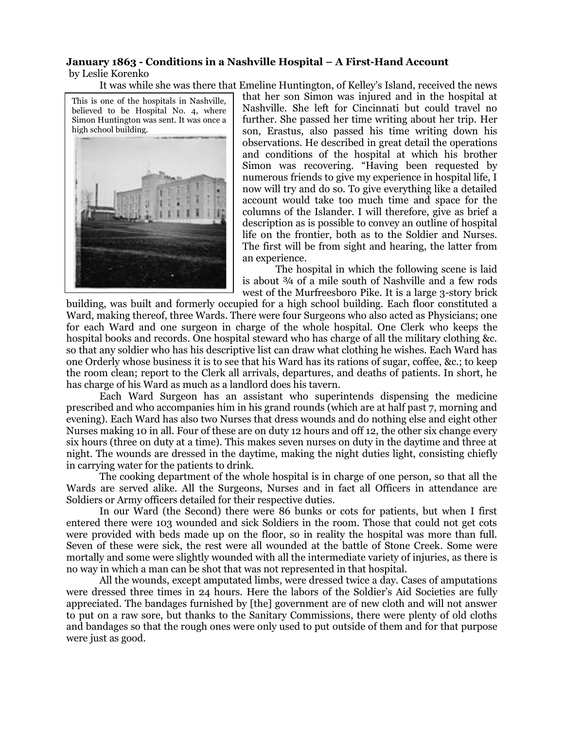## **January 1863 - Conditions in a Nashville Hospital – A First-Hand Account** by Leslie Korenko

It was while she was there that Emeline Huntington, of Kelley's Island, received the news

This is one of the hospitals in Nashville, believed to be Hospital No. 4, where Simon Huntington was sent. It was once a high school building.



that her son Simon was injured and in the hospital at Nashville. She left for Cincinnati but could travel no further. She passed her time writing about her trip. Her son, Erastus, also passed his time writing down his observations. He described in great detail the operations and conditions of the hospital at which his brother Simon was recovering. "Having been requested by numerous friends to give my experience in hospital life, I now will try and do so. To give everything like a detailed account would take too much time and space for the columns of the Islander. I will therefore, give as brief a description as is possible to convey an outline of hospital life on the frontier, both as to the Soldier and Nurses. The first will be from sight and hearing, the latter from an experience.

The hospital in which the following scene is laid is about ¾ of a mile south of Nashville and a few rods west of the Murfreesboro Pike. It is a large 3-story brick

building, was built and formerly occupied for a high school building. Each floor constituted a Ward, making thereof, three Wards. There were four Surgeons who also acted as Physicians; one for each Ward and one surgeon in charge of the whole hospital. One Clerk who keeps the hospital books and records. One hospital steward who has charge of all the military clothing &c. so that any soldier who has his descriptive list can draw what clothing he wishes. Each Ward has one Orderly whose business it is to see that his Ward has its rations of sugar, coffee, &c.; to keep the room clean; report to the Clerk all arrivals, departures, and deaths of patients. In short, he has charge of his Ward as much as a landlord does his tavern.

Each Ward Surgeon has an assistant who superintends dispensing the medicine prescribed and who accompanies him in his grand rounds (which are at half past 7, morning and evening). Each Ward has also two Nurses that dress wounds and do nothing else and eight other Nurses making 10 in all. Four of these are on duty 12 hours and off 12, the other six change every six hours (three on duty at a time). This makes seven nurses on duty in the daytime and three at night. The wounds are dressed in the daytime, making the night duties light, consisting chiefly in carrying water for the patients to drink.

The cooking department of the whole hospital is in charge of one person, so that all the Wards are served alike. All the Surgeons, Nurses and in fact all Officers in attendance are Soldiers or Army officers detailed for their respective duties.

In our Ward (the Second) there were 86 bunks or cots for patients, but when I first entered there were 103 wounded and sick Soldiers in the room. Those that could not get cots were provided with beds made up on the floor, so in reality the hospital was more than full. Seven of these were sick, the rest were all wounded at the battle of Stone Creek. Some were mortally and some were slightly wounded with all the intermediate variety of injuries, as there is no way in which a man can be shot that was not represented in that hospital.

All the wounds, except amputated limbs, were dressed twice a day. Cases of amputations were dressed three times in 24 hours. Here the labors of the Soldier's Aid Societies are fully appreciated. The bandages furnished by [the] government are of new cloth and will not answer to put on a raw sore, but thanks to the Sanitary Commissions, there were plenty of old cloths and bandages so that the rough ones were only used to put outside of them and for that purpose were just as good.